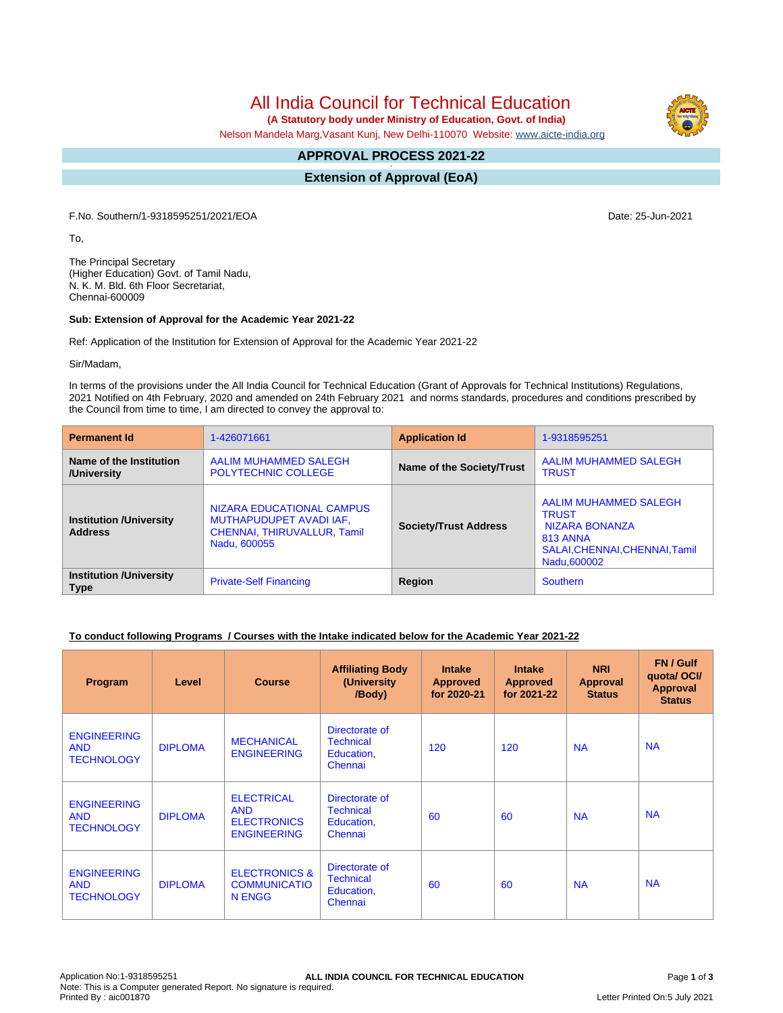All India Council for Technical Education

 **(A Statutory body under Ministry of Education, Govt. of India)**

Nelson Mandela Marg,Vasant Kunj, New Delhi-110070 Website: [www.aicte-india.org](http://www.aicte-india.org)

#### **APPROVAL PROCESS 2021-22 -**

**Extension of Approval (EoA)**

F.No. Southern/1-9318595251/2021/EOA Date: 25-Jun-2021

To,

The Principal Secretary (Higher Education) Govt. of Tamil Nadu, N. K. M. Bld. 6th Floor Secretariat, Chennai-600009

#### **Sub: Extension of Approval for the Academic Year 2021-22**

Ref: Application of the Institution for Extension of Approval for the Academic Year 2021-22

Sir/Madam,

In terms of the provisions under the All India Council for Technical Education (Grant of Approvals for Technical Institutions) Regulations, 2021 Notified on 4th February, 2020 and amended on 24th February 2021 and norms standards, procedures and conditions prescribed by the Council from time to time, I am directed to convey the approval to:

| <b>Permanent Id</b>                              | 1-426071661                                                                                                | <b>Application Id</b>        | 1-9318595251                                                                                                                |  |
|--------------------------------------------------|------------------------------------------------------------------------------------------------------------|------------------------------|-----------------------------------------------------------------------------------------------------------------------------|--|
| Name of the Institution<br>/University           | AALIM MUHAMMED SALEGH<br><b>POLYTECHNIC COLLEGE</b>                                                        | Name of the Society/Trust    | AALIM MUHAMMED SALEGH<br><b>TRUST</b>                                                                                       |  |
| <b>Institution /University</b><br><b>Address</b> | NIZARA EDUCATIONAL CAMPUS<br>MUTHAPUDUPET AVADI IAF,<br><b>CHENNAI, THIRUVALLUR, Tamil</b><br>Nadu, 600055 | <b>Society/Trust Address</b> | AALIM MUHAMMED SALEGH<br><b>TRUST</b><br>NIZARA BONANZA<br><b>813 ANNA</b><br>SALAI, CHENNAI, CHENNAI, Tamil<br>Nadu,600002 |  |
| <b>Institution /University</b><br><b>Type</b>    | <b>Private-Self Financing</b>                                                                              | Region                       | Southern                                                                                                                    |  |

### **To conduct following Programs / Courses with the Intake indicated below for the Academic Year 2021-22**

| Program                                               | Level          | <b>Course</b>                                                               | <b>Affiliating Body</b><br>(University<br>/Body)            | <b>Intake</b><br><b>Approved</b><br>for 2020-21 | <b>Intake</b><br><b>Approved</b><br>for 2021-22 | <b>NRI</b><br><b>Approval</b><br><b>Status</b> | FN / Gulf<br>quotal OCI/<br><b>Approval</b><br><b>Status</b> |
|-------------------------------------------------------|----------------|-----------------------------------------------------------------------------|-------------------------------------------------------------|-------------------------------------------------|-------------------------------------------------|------------------------------------------------|--------------------------------------------------------------|
| <b>ENGINEERING</b><br><b>AND</b><br><b>TECHNOLOGY</b> | <b>DIPLOMA</b> | <b>MECHANICAL</b><br><b>ENGINEERING</b>                                     | Directorate of<br><b>Technical</b><br>Education,<br>Chennai | 120                                             | 120                                             | <b>NA</b>                                      | <b>NA</b>                                                    |
| <b>ENGINEERING</b><br><b>AND</b><br><b>TECHNOLOGY</b> | <b>DIPLOMA</b> | <b>ELECTRICAL</b><br><b>AND</b><br><b>ELECTRONICS</b><br><b>ENGINEERING</b> | Directorate of<br><b>Technical</b><br>Education,<br>Chennai | 60                                              | 60                                              | <b>NA</b>                                      | <b>NA</b>                                                    |
| <b>ENGINEERING</b><br><b>AND</b><br><b>TECHNOLOGY</b> | <b>DIPLOMA</b> | <b>ELECTRONICS &amp;</b><br><b>COMMUNICATIO</b><br>N ENGG                   | Directorate of<br><b>Technical</b><br>Education,<br>Chennai | 60                                              | 60                                              | <b>NA</b>                                      | <b>NA</b>                                                    |

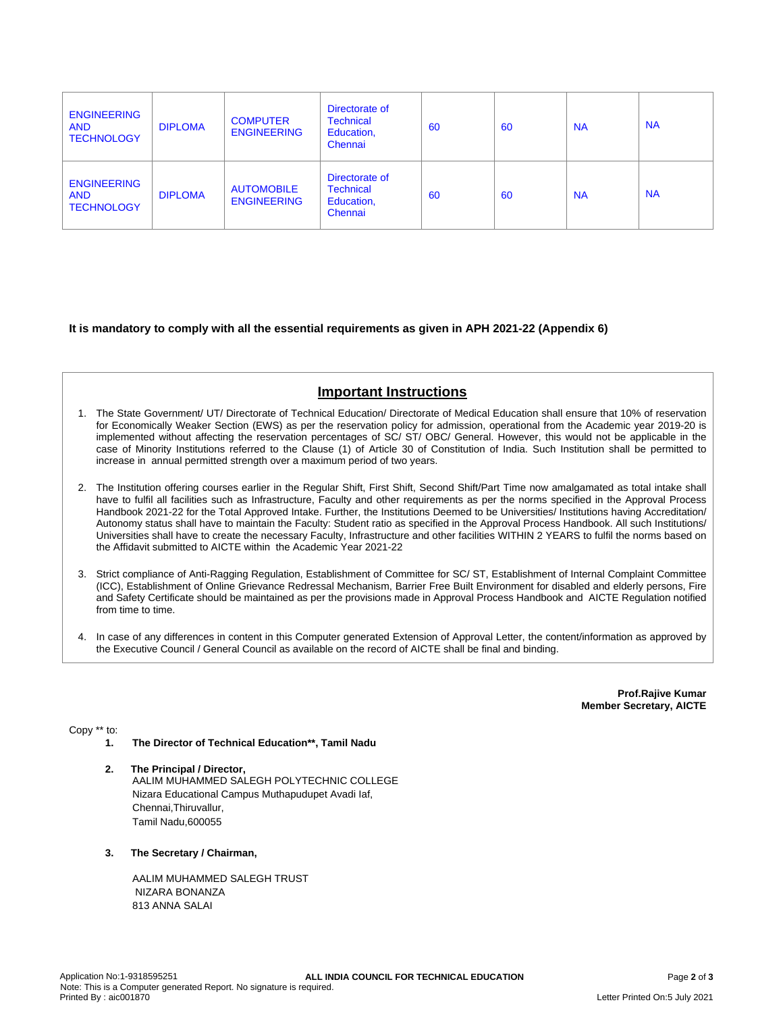| <b>ENGINEERING</b><br><b>AND</b><br><b>TECHNOLOGY</b> | <b>DIPLOMA</b> | <b>COMPUTER</b><br><b>ENGINEERING</b>   | Directorate of<br><b>Technical</b><br>Education,<br>Chennai | 60 | 60 | <b>NA</b> | <b>NA</b> |
|-------------------------------------------------------|----------------|-----------------------------------------|-------------------------------------------------------------|----|----|-----------|-----------|
| <b>ENGINEERING</b><br><b>AND</b><br><b>TECHNOLOGY</b> | <b>DIPLOMA</b> | <b>AUTOMOBILE</b><br><b>ENGINEERING</b> | Directorate of<br><b>Technical</b><br>Education,<br>Chennai | 60 | 60 | <b>NA</b> | <b>NA</b> |

**It is mandatory to comply with all the essential requirements as given in APH 2021-22 (Appendix 6)**

# **Important Instructions**

- 1. The State Government/ UT/ Directorate of Technical Education/ Directorate of Medical Education shall ensure that 10% of reservation for Economically Weaker Section (EWS) as per the reservation policy for admission, operational from the Academic year 2019-20 is implemented without affecting the reservation percentages of SC/ ST/ OBC/ General. However, this would not be applicable in the case of Minority Institutions referred to the Clause (1) of Article 30 of Constitution of India. Such Institution shall be permitted to increase in annual permitted strength over a maximum period of two years.
- 2. The Institution offering courses earlier in the Regular Shift, First Shift, Second Shift/Part Time now amalgamated as total intake shall have to fulfil all facilities such as Infrastructure, Faculty and other requirements as per the norms specified in the Approval Process Handbook 2021-22 for the Total Approved Intake. Further, the Institutions Deemed to be Universities/ Institutions having Accreditation/ Autonomy status shall have to maintain the Faculty: Student ratio as specified in the Approval Process Handbook. All such Institutions/ Universities shall have to create the necessary Faculty, Infrastructure and other facilities WITHIN 2 YEARS to fulfil the norms based on the Affidavit submitted to AICTE within the Academic Year 2021-22
- 3. Strict compliance of Anti-Ragging Regulation, Establishment of Committee for SC/ ST, Establishment of Internal Complaint Committee (ICC), Establishment of Online Grievance Redressal Mechanism, Barrier Free Built Environment for disabled and elderly persons, Fire and Safety Certificate should be maintained as per the provisions made in Approval Process Handbook and AICTE Regulation notified from time to time.
- 4. In case of any differences in content in this Computer generated Extension of Approval Letter, the content/information as approved by the Executive Council / General Council as available on the record of AICTE shall be final and binding.

**Prof.Rajive Kumar Member Secretary, AICTE**

Copy \*\* to:

- **1. The Director of Technical Education\*\*, Tamil Nadu**
- **2. The Principal / Director,** AALIM MUHAMMED SALEGH POLYTECHNIC COLLEGE Nizara Educational Campus Muthapudupet Avadi Iaf, Chennai,Thiruvallur, Tamil Nadu,600055
- **3. The Secretary / Chairman,**

AALIM MUHAMMED SALEGH TRUST NIZARA BONANZA 813 ANNA SALAI